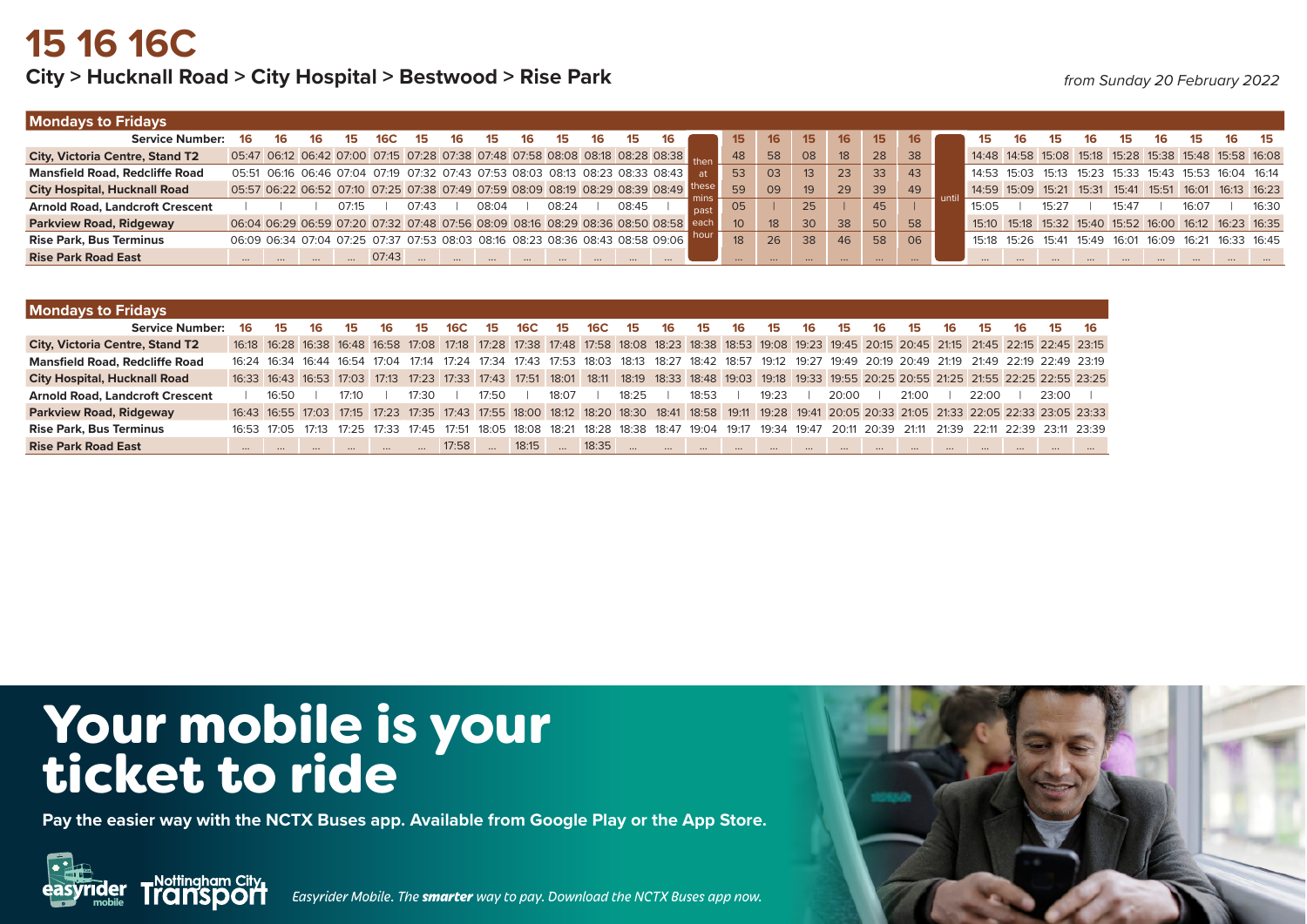## **15 16 16C**

#### City > Hucknall Road > City Hospital > Bestwood > Rise Park *from Sunday 20 February 2022*

| <b>Mondays to Fridays</b>              |    |                                                                                      |       |     |       |       |       |    |       |    |     |                 |                 |          |    |          |    |                                                       |             |       |       |       |                                                               |       |    |       |
|----------------------------------------|----|--------------------------------------------------------------------------------------|-------|-----|-------|-------|-------|----|-------|----|-----|-----------------|-----------------|----------|----|----------|----|-------------------------------------------------------|-------------|-------|-------|-------|---------------------------------------------------------------|-------|----|-------|
| <b>Service Number:</b>                 | 16 | 16                                                                                   | 15.   | 16C | 15    |       | 15.   | 16 |       | 16 |     | 15              | 16              | 15       | 16 | 15       |    | 15.                                                   |             |       | 16.   |       | 16                                                            |       | 16 | - 15  |
| <b>City, Victoria Centre, Stand T2</b> |    | 05:47 06:12 06:42 07:00 07:15 07:28 07:38 07:48 07:58 08:08 08:18 08:28 08:38 then   |       |     |       |       |       |    |       |    |     | 48              | 58              | 08       | 18 | 28       | 38 |                                                       |             |       |       |       | 14:48 14:58 15:08 15:18 15:28 15:38 15:48 15:58 16:08         |       |    |       |
| <b>Mansfield Road, Redcliffe Road</b>  |    | 05:51 06:16 06:46 07:04 07:19 07:32 07:43 07:53 08:03 08:13 08:23 08:33 08:43        |       |     |       |       |       |    |       |    | -at | 53              | 03              |          | 23 | 33       | 43 | 14:53 15:03 15:13 15:23 15:33 15:43 15:53 16:04 16:14 |             |       |       |       |                                                               |       |    |       |
| <b>City Hospital, Hucknall Road</b>    |    | 05:57 06:22 06:52 07:10 07:25 07:38 07:49 07:59 08:09 08:19 08:29 08:39 08:49 linese |       |     |       |       |       |    |       |    |     | 59              | 09              | 19       | 29 | 39       | 49 | 14:59 15:09 15:21 15:31 15:41 15:51 16:01 16:13 16:23 |             |       |       |       |                                                               |       |    |       |
| <b>Arnold Road, Landcroft Crescent</b> |    |                                                                                      | 07:15 |     | 07:43 | 08:04 | 08:24 |    | 08:45 |    |     | 05              |                 | 25       |    | 45       |    | 15:05                                                 |             | 15.27 |       | 15:47 |                                                               | 16.07 |    | 16:30 |
| <b>Parkview Road, Ridgeway</b>         |    | 06:04 06:29 06:59 07:20 07:32 07:48 07:56 08:09 08:16 08:29 08:36 08:50 08:58 d      |       |     |       |       |       |    |       |    |     | 10 <sup>°</sup> | 18 <sup>°</sup> | 30       | 38 | 50       | 58 |                                                       |             |       |       |       | 15:10  15:18  15:32  15:40  15:52  16:00  16:12  16:23  16:35 |       |    |       |
| <b>Rise Park, Bus Terminus</b>         |    | 06:09 06:34 07:04 07:25 07:37 07:53 08:03 08:16 08:23 08:36 08:43 08:58 09:06        |       |     |       |       |       |    |       |    |     | 18              | 26              | 38       | 46 | 58       | 06 |                                                       | 15:18 15:26 | 15:41 | 15:49 |       | 16:01 16:09 16:21 16:33 16:45                                 |       |    |       |
| <b>Rise Park Road East</b>             |    |                                                                                      |       |     |       |       |       |    |       |    |     |                 |                 | $\cdots$ |    | $\cdots$ |    |                                                       |             |       |       |       |                                                               |       |    |       |

| <b>Mondays to Fridays</b>              |          |       |                                                                                                                                                       |       |       |        |            |             |                   |       |             |                 |          |          |          |          |          |          |          |          |          |          |          |        |                                                                                                                                                       |
|----------------------------------------|----------|-------|-------------------------------------------------------------------------------------------------------------------------------------------------------|-------|-------|--------|------------|-------------|-------------------|-------|-------------|-----------------|----------|----------|----------|----------|----------|----------|----------|----------|----------|----------|----------|--------|-------------------------------------------------------------------------------------------------------------------------------------------------------|
| <b>Service Number:</b>                 | 16       | 15    | 16                                                                                                                                                    | 15    | 16    | 15     | <b>16C</b> | 15          | 16C               | 15.   | <b>16C</b>  | 15              | 16       | 15       | 16       | 15       | 16       | 15       | 16       | 15       | 16       | 15       | 16       | 15     | -16                                                                                                                                                   |
| <b>City, Victoria Centre, Stand T2</b> |          |       | 16:18 16:28 16:38 16:48 16:58 17:08 17:18 17:28 17:38 17:48 17:58 18:08 18:23 18:38 18:53 19:08 19:23 19:45 20:15 20:45 21:15 21:45 22:15 22:45 23:15 |       |       |        |            |             |                   |       |             |                 |          |          |          |          |          |          |          |          |          |          |          |        |                                                                                                                                                       |
| <b>Mansfield Road, Redcliffe Road</b>  |          |       | 16:24 16:34 16:44 16:54 17:04                                                                                                                         |       |       | 17.14  |            | 17:24 17:34 | 17:43 17:53       |       | 18:03 18:13 |                 | 18:27    | 18:42    | 18:57    |          |          |          |          |          |          |          |          |        | 19:12 19:27 19:49 20:19 20:49 21:19 21:49 22:19 22:49 23:19                                                                                           |
| <b>City Hospital, Hucknall Road</b>    |          |       | 16:33 16:43 16:53 17:03 17:13 17:23 17:33 17:43 17:51 18:01                                                                                           |       |       |        |            |             |                   |       |             |                 |          |          |          |          |          |          |          |          |          |          |          |        | 18:11 18:19 18:33 18:48 19:03 19:18 19:33 19:55 20:25 20:55 21:25 21:55 22:25 22:55 23:25                                                             |
| <b>Arnold Road, Landcroft Crescent</b> |          | 16:50 |                                                                                                                                                       | 17.10 |       | 17.30. |            | 17:50       |                   | 18.07 |             | 18:25           |          | 18:53    |          | 19.23    |          | 20:00    |          | 21:00    |          | 22:00    |          | 23.00. |                                                                                                                                                       |
| <b>Parkview Road, Ridgeway</b>         |          |       |                                                                                                                                                       |       |       |        |            |             |                   |       |             |                 |          |          |          |          |          |          |          |          |          |          |          |        | 16:43 16:55 17:03 17:15 17:23 17:35 17:43 17:55 18:00 18:12 18:20 18:30 18:41 18:58 19:11 19:28 19:41 20:05 20:33 21:05 21:33 22:05 22:33 23:05 23:33 |
| <b>Rise Park, Bus Terminus</b>         |          |       | 16.53 17.05 17.13                                                                                                                                     | 17.25 | 17:33 | 17.45  | 17.51      |             | 18:05 18:08 18:21 |       |             | $18.28$ $18.38$ | 18∙47    | 19∙04    | 19:17    | 19:34    | 19.47    | 20:11    | 20:39    | 21:11    |          |          |          |        | 21:39 22:11 22:39 23:11 23:39                                                                                                                         |
| <b>Rise Park Road East</b>             | $\cdots$ |       | $\cdots$                                                                                                                                              |       |       |        | 17:58      |             | 18:15             |       | 18:35       |                 | $\cdots$ | $\cdots$ | $\cdots$ | $\cdots$ | $\cdots$ | $\cdots$ | $\cdots$ | $\cdots$ | $\cdots$ | $\cdots$ | $\cdots$ |        | $\cdots$                                                                                                                                              |

# Your mobile is your ticket to ride

**Pay the easier way with the NCTX Buses app. Available from Google Play or the App Store.**



**mobile** *Easyrider Mobile. The smarter way to pay. Download the NCTX Buses app now.*

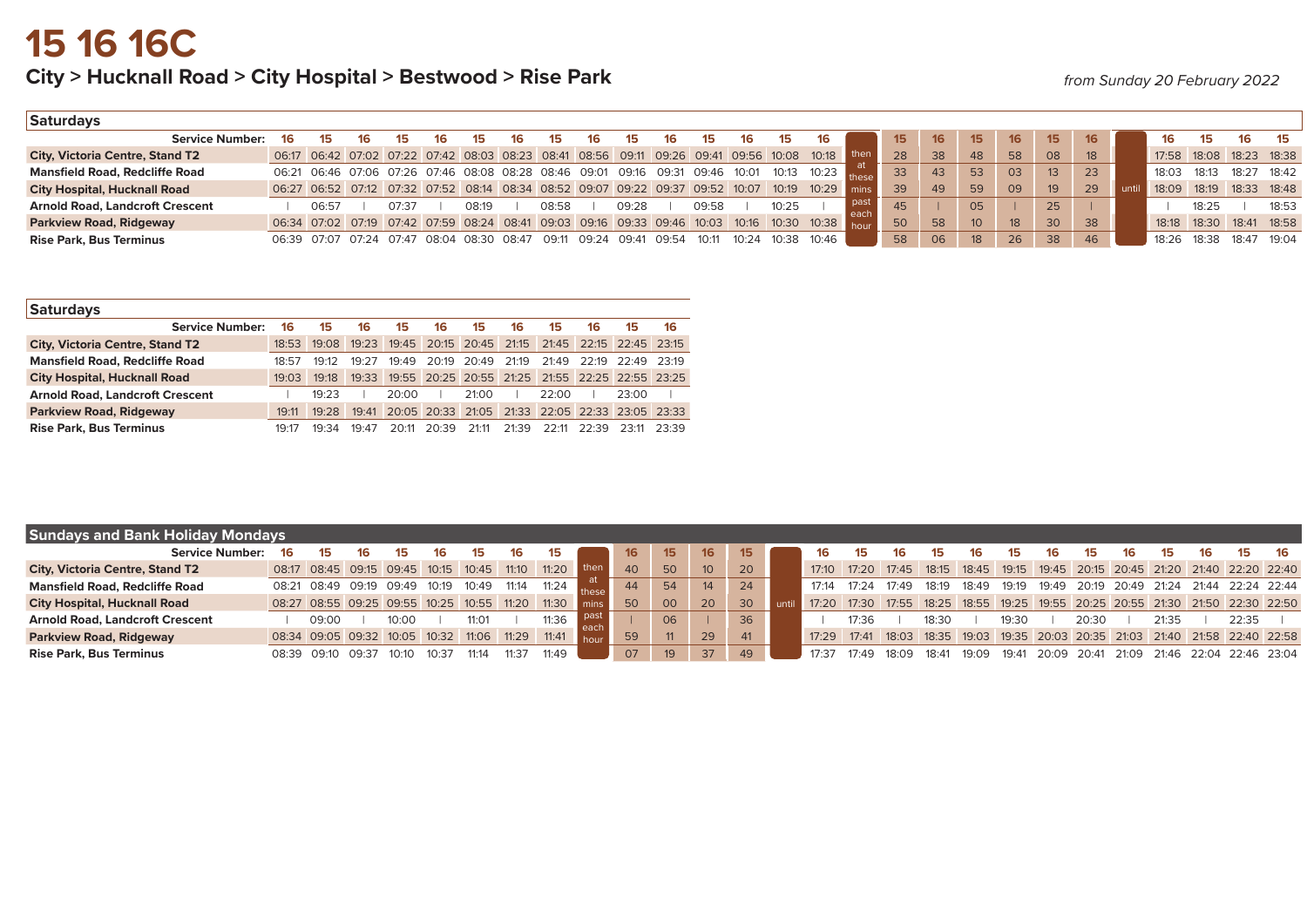## City > Hucknall Road > City Hospital > Bestwood > Rise Park *from Sunday 20 February 2022*

| Saturdays                              |    |       |                                                                               |       |                         |       |     |       |       |       |       |       |       |       |                                                                                                |       |                 |    |                 |                 |                 |    |      |                         |       |       |                   |
|----------------------------------------|----|-------|-------------------------------------------------------------------------------|-------|-------------------------|-------|-----|-------|-------|-------|-------|-------|-------|-------|------------------------------------------------------------------------------------------------|-------|-----------------|----|-----------------|-----------------|-----------------|----|------|-------------------------|-------|-------|-------------------|
| <b>Service Number:</b>                 | 16 |       | 16.                                                                           |       | 16                      | 15    | 16. | 15    |       |       |       |       |       |       | 16                                                                                             |       | 15 <sub>1</sub> | 16 | 15              | 16              | 15 <sub>1</sub> | 16 |      | 16                      |       |       |                   |
| <b>City, Victoria Centre, Stand T2</b> |    |       |                                                                               |       |                         |       |     |       |       |       |       |       |       |       | 06:17 06:42 07:02 07:22 07:42 08:03 08:23 08:41 08:56 09:11 09:26 09:41 09:56 10:08 10:18 then |       | 28              | 38 | 48              | 58              | 08              | 18 |      | 17:58 18:08 18:23 18:38 |       |       |                   |
| <b>Mansfield Road, Redcliffe Road</b>  |    |       | 06:21 06:46 07:06 07:26 07:46 08:08 08:28 08:46 09:01 09:16 09:31 09:46 10:01 |       |                         |       |     |       |       |       |       |       |       |       | 10:13 10:23                                                                                    |       | 33              | 43 | 53              | 03              | 13 <sup>2</sup> | 23 |      | 18:03                   | 18:13 | 18:27 | 18.42             |
| <b>City Hospital, Hucknall Road</b>    |    |       | 06:27 06:52 07:12 07:32 07:52 08:14 08:34 08:52 09:07 09:22 09:37 09:52 10:07 |       |                         |       |     |       |       |       |       |       |       |       | 10:19  10:29  mins                                                                             |       | 39              | 49 | 59              | 09              | 19 <sup>°</sup> | 29 | unti | 18:09                   |       |       | 18:19 18:33 18:48 |
| <b>Arnold Road, Landcroft Crescent</b> |    | 06:57 |                                                                               | 07:37 |                         | 08:19 |     | 08:58 |       | 09:28 |       | 09:58 |       | 10:25 |                                                                                                | - pas | 45              |    | 05              |                 | 25              |    |      |                         | 18:25 |       | 18:53             |
| <b>Parkview Road, Ridgeway</b>         |    |       |                                                                               |       |                         |       |     |       |       |       |       |       |       |       | 06:34 07:02 07:19 07:42 07:59 08:24 08:41 09:03 09:16 09:33 09:46 10:03 10:16 10:30 10:38 hour |       | 50              | 58 | 10 <sup>°</sup> | 18 <sup>1</sup> | 30              | 38 |      | 18:18 18:30             |       |       | 18:41 18:58       |
| <b>Rise Park, Bus Terminus</b>         |    |       | 06:39 07:07 07:24                                                             |       | 07:47 08:04 08:30 08:47 |       |     | 09:11 | 09.24 | 09.41 | 09.54 | 10.11 | 10.24 | 10.38 | 10∙46                                                                                          |       | 58              | 06 | 18              | 26 <sup>°</sup> | 38              | 46 |      | 18∙26                   | 18:38 | 18.47 | 19.04             |

| <b>Saturdays</b>                       |       |             |       |       |       |                                                 |       |       |       |                         |       |
|----------------------------------------|-------|-------------|-------|-------|-------|-------------------------------------------------|-------|-------|-------|-------------------------|-------|
| <b>Service Number:</b>                 | 16    | 15          | 16.   | 15    | 16    | 15                                              | 16    | 15    | 16    | 15                      | 16    |
| <b>City, Victoria Centre, Stand T2</b> | 18:53 | 19:08 19:23 |       | 19:45 |       | 20:15 20:45                                     | 21:15 |       |       | 21:45 22:15 22:45 23:15 |       |
| <b>Mansfield Road, Redcliffe Road</b>  | 18.57 | 19.12       | 19.27 | 19.49 |       | 20:19 20:49                                     | 21.19 |       |       | $21.49$ $22.19$ $22.49$ | 23.19 |
| <b>City Hospital, Hucknall Road</b>    | 19:03 | 19:18       | 19:33 |       |       | 19:55 20:25 20:55 21:25 21:55 22:25 22:55 23:25 |       |       |       |                         |       |
| <b>Arnold Road, Landcroft Crescent</b> |       | 19.23       |       | 20:00 |       | 21:00                                           |       | 22.00 |       | 23:00                   |       |
| <b>Parkview Road, Ridgeway</b>         | 19:11 | 19.28       | 19.41 |       |       | 20:05 20:33 21:05 21:33 22:05 22:33 23:05 23:33 |       |       |       |                         |       |
| <b>Rise Park, Bus Terminus</b>         | 19.17 | 19.34       | 19.47 | 20.11 | 20.39 | 21:11                                           | 21.39 | 22.11 | 22.39 | 23:11                   | 23.39 |

| <b>Sundays and Bank Holiday Mondays</b> |        |                               |       |       |       |                   |       |       |                               |    |    |                 |                  |       |                                                                               |                                                                   |                    |       |       |       |       |                                   |       |     |                                                             |      |
|-----------------------------------------|--------|-------------------------------|-------|-------|-------|-------------------|-------|-------|-------------------------------|----|----|-----------------|------------------|-------|-------------------------------------------------------------------------------|-------------------------------------------------------------------|--------------------|-------|-------|-------|-------|-----------------------------------|-------|-----|-------------------------------------------------------------|------|
| <b>Service Number:</b>                  | 16     | 15                            | 16    | 15.   | 16.   | 15                | 16    | 15    |                               | 16 | 15 | 16 <sup>1</sup> | 15 <sub>15</sub> |       |                                                                               |                                                                   | פו                 |       | 15    |       | 15    | 16.                               | 15.   | 16. | 15                                                          | - 16 |
| <b>City, Victoria Centre, Stand T2</b>  |        | 08:17 08:45 09:15 09:45 10:15 |       |       |       | 10:45 11:10 11:20 |       |       |                               | 40 | 50 | 10 <sup>2</sup> | 20               |       | 17:10  17:20  17:45                                                           |                                                                   |                    |       |       |       |       |                                   |       |     | 18:15 18:45 19:15 19:45 20:15 20:45 21:20 21:40 22:20 22:40 |      |
| <b>Mansfield Road, Redcliffe Road</b>   |        | 08:21 08:49 09:19 09:49       |       |       | 10:19 | 10:49             | 11:14 | 11:24 |                               | 44 | 54 | 14              | 24               | 17:14 | 17・24                                                                         | 17:49                                                             | 18:19              | 18:49 | 19:19 |       |       | 19:49  20:19  20:49  21:24  21:44 |       |     | 22:24 22:44                                                 |      |
| <b>City Hospital, Hucknall Road</b>     |        | 08:27 08:55 09:25 09:55 10:25 |       |       |       | 10:55 11:20       |       | 11:30 | $\overline{\phantom{a}}$ mins | 50 | 00 | 20              | 30 <sup>°</sup>  |       | 17:20 17:30 17:55 18:25 18:55 19:25 19:55 20:25 20:55 21:30 21:50 22:30 22:50 |                                                                   |                    |       |       |       |       |                                   |       |     |                                                             |      |
| <b>Arnold Road, Landcroft Crescent</b>  |        | 09:00                         |       | 10:00 |       | 11:01             |       | 11:36 |                               |    | 06 |                 | 36               |       | 17:36                                                                         |                                                                   | 18:30              |       | 19:30 |       | 20:30 |                                   | 21:35 |     | 22:35                                                       |      |
| Parkview Road, Ridgeway                 |        | 08:34 09:05 09:32 10:05       |       |       | 10:32 | 11:06             | 11:29 | 11:41 | hour                          | 59 |    | 29              | 41               |       | 17:29 17:41                                                                   | 18:03 18:35 19:03 19:35 20:03 20:35 21:03 21:40 21:58 22:40 22:58 |                    |       |       |       |       |                                   |       |     |                                                             |      |
| <b>Rise Park, Bus Terminus</b>          | 08.39. | 09:10                         | 09:37 | 10:10 | 10.3  | 11:14             | 11.37 | 11.49 |                               | 07 | 19 | 37              | 49               | 17.37 |                                                                               | 18.09                                                             | 18 <sup>-</sup> 41 | 19.09 | 19:41 | 20:09 |       |                                   |       |     | 20:41 21:09 21:46 22:04 22:46 23:04                         |      |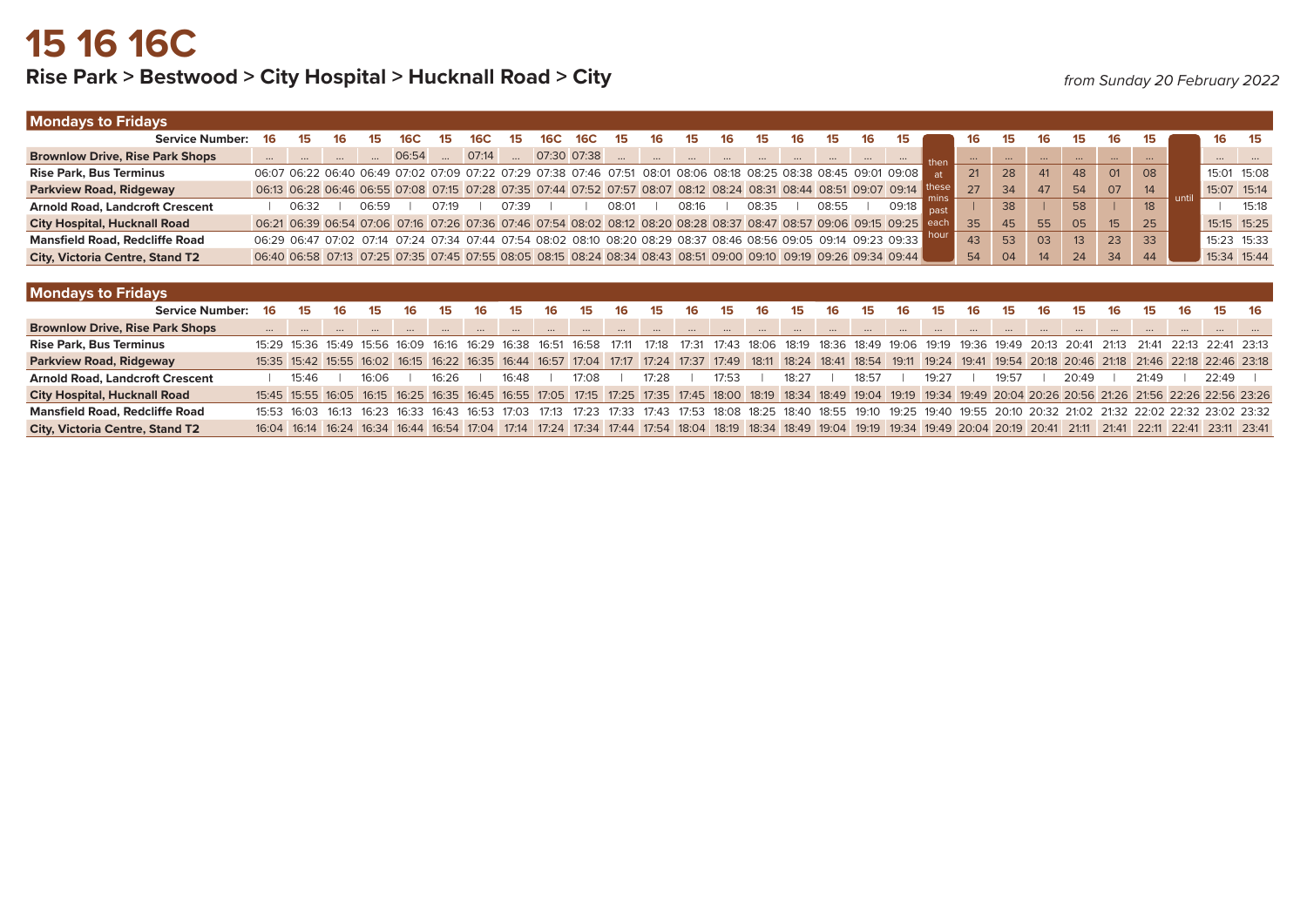## Rise Park > Bestwood > City Hospital > Hucknall Road > City *from Sunday 20 February 2022*

| <b>Mondays to Fridays</b>              |          |       |       |       |       |       |          |     |             |       |                                                                                                                   |    |       |    |       |     |       |                |          |          |          |          |                 |    |          |             |          |
|----------------------------------------|----------|-------|-------|-------|-------|-------|----------|-----|-------------|-------|-------------------------------------------------------------------------------------------------------------------|----|-------|----|-------|-----|-------|----------------|----------|----------|----------|----------|-----------------|----|----------|-------------|----------|
| <b>Service Number:</b>                 | 16       |       |       |       | 15    | 6С    | 15       | 16C | 16C         | 15    |                                                                                                                   |    |       |    |       | 16  | 15    |                | 16       | 15       | 16       | 15       | 16              | פו |          | 16          |          |
| <b>Brownlow Drive, Rise Park Shops</b> |          |       |       | 06:54 |       | 07:14 | $\cdots$ |     | 07:30 07:38 |       |                                                                                                                   |    |       |    |       |     |       | then           | $\cdots$ | $\cdots$ | $\cdots$ | $\cdots$ | $\cdots$        |    |          | $\cdots$    | $\cdots$ |
| <b>Rise Park, Bus Terminus</b>         |          |       |       |       |       |       |          |     |             |       | 06:07 06:22 06:40 06:49 07:02 07:09 07:22 07:29 07:38 07:46 07:51 08:01 08:06 08:18 08:25 08:38 08:45 09:01 09:08 |    |       |    |       |     |       | $\mathsf{a}$ t | 21       | 28       | 41       | 48       | O <sub>1</sub>  | 08 |          | 15:01 15:08 |          |
| <b>Parkview Road, Ridgeway</b>         |          |       |       |       |       |       |          |     |             |       | 06:13 06:28 06:46 06:55 07:08 07:15 07:28 07:35 07:44 07:52 07:57 08:07 08:12 08:24 08:31 08:44 08:51 09:07 09:14 |    |       |    |       |     |       |                | 27       | 34       | 47       | 54       | 07              | 14 | unti     | 15:07 15:14 |          |
| <b>Arnold Road, Landcroft Crescent</b> |          | 06:32 | 06:59 |       | 07:19 |       | 07:39    |     |             | 08:01 | 08:16                                                                                                             |    | 08:35 |    | 08:55 |     | 09:18 |                |          | 38       |          | 58       |                 | 18 |          |             | 15:18    |
| <b>City Hospital, Hucknall Road</b>    |          |       |       |       |       |       |          |     |             |       | 06:21 06:39 06:54 07:06 07:16 07:26 07:36 07:46 07:54 08:02 08:12 08:20 08:28 08:37 08:47 08:57 09:06 09:15 09:25 |    |       |    |       |     |       |                | 35       | 45       | 55       | 05       | 15 <sup>2</sup> | 25 |          | 15:15 15:25 |          |
| <b>Mansfield Road, Redcliffe Road</b>  |          |       |       |       |       |       |          |     |             |       | 06:29 06:47 07:02 07:14 07:24 07:34 07:44 07:54 08:02 08:10 08:20 08:29 08:37 08:46 08:56 09:05 09:14 09:23 09:33 |    |       |    |       |     |       |                | 43       | 53       | 03       | 13       | 23              | 33 |          | 15:23 15:33 |          |
| <b>City, Victoria Centre, Stand T2</b> |          |       |       |       |       |       |          |     |             |       | 06:40 06:58 07:13 07:25 07:35 07:45 07:55 08:05 08:15 08:24 08:34 08:43 08:51 09:00 09:10 09:19 09:26 09:34 09:44 |    |       |    |       |     |       |                | 54       | 04       | 14       | 24       | 34              | 44 |          | 15:34 15:44 |          |
|                                        |          |       |       |       |       |       |          |     |             |       |                                                                                                                   |    |       |    |       |     |       |                |          |          |          |          |                 |    |          |             |          |
| <b>Mondays to Fridays</b>              |          |       |       |       |       |       |          |     |             |       |                                                                                                                   |    |       |    |       |     |       |                |          |          |          |          |                 |    |          |             |          |
| <b>Service Number:</b>                 | 16       |       | 15    | 16    | 15    |       |          | 16. | 15.         | 16    |                                                                                                                   | 15 | 16.   | 15 |       | 15. | 16.   | 15.            | 16       | 15       | 16       | 15       | 16.             | 15 |          |             |          |
| <b>Brownlow Drive, Rise Park Shops</b> | $\cdots$ |       |       |       |       |       |          |     |             |       |                                                                                                                   |    |       |    |       |     |       |                |          |          |          |          |                 |    | $\cdots$ | $\cdots$    |          |

| <b>Rise Park, Bus Terminus</b>         |                                                                                                                                                                               |       |       |       |       |       |       |       |       |       |       |       |       |       |       | 15:29 15:36 15:49 15:56 16:09 16:16 16:29 16:38 16:51 16:58 17:11 17:18 17:31 17:43 18:06 18:19 18:36 18:49 19:06 19:19 19:36 19:49 20:13 20:41 21:13 21:41 22:13 22:41 23:13 |
|----------------------------------------|-------------------------------------------------------------------------------------------------------------------------------------------------------------------------------|-------|-------|-------|-------|-------|-------|-------|-------|-------|-------|-------|-------|-------|-------|-------------------------------------------------------------------------------------------------------------------------------------------------------------------------------|
| <b>Parkview Road, Ridgeway</b>         |                                                                                                                                                                               |       |       |       |       |       |       |       |       |       |       |       |       |       |       | 15:35 15:42 15:55 16:02 16:15 16:22 16:35 16:44 16:57 17:04 17:17 17:24 17:37 17:49 18:11 18:24 18:41 18:54 19:11 19:24 19:41 19:54 20:18 20:46 21:18 21:46 22:18 22:18 23:18 |
| <b>Arnold Road, Landcroft Crescent</b> |                                                                                                                                                                               | 15.46 | 16.06 | 16.26 | 16∙48 | 17.08 | 17.28 | 17.53 | 18.27 | 18.57 | 19.27 | 19.57 | 20.49 | 21.49 | 22.49 |                                                                                                                                                                               |
| <b>City Hospital, Hucknall Road</b>    | 15:45 15:55 16:05 16:15 16:25 16:35 16:45 16:55 17:05 17:15 17:25 17:35 17:45 18:00 18:19 18:34 18:49 19:04 19:19 19:34 19:49 20:04 20:26 20:56 21:26 21:56 22:26 22:56 23:26 |       |       |       |       |       |       |       |       |       |       |       |       |       |       |                                                                                                                                                                               |
| <b>Mansfield Road, Redcliffe Road</b>  |                                                                                                                                                                               |       |       |       |       |       |       |       |       |       |       |       |       |       |       | 15:53 16:03 16:13 16:23 16:33 16:43 16:53 17:03 17:13 17:23 17:33 17:43 17:53 18:08 18:25 18:40 18:55 19:10 19:25 19:40 19:55 20:10 20:32 21:02 21:32 22:02 22:32 23:02 23:32 |
| <b>City, Victoria Centre, Stand T2</b> | 16:04 16:14 16:24 16:34 16:44 16:54 17:04 17:14 17:24 17:34 17:44 17:54 18:04 18:19 18:34 18:49 19:04 19:19 19:34 19:49 20:04 20:19 20:41 21:11 21:41 22:11 22:41 23:11 23:41 |       |       |       |       |       |       |       |       |       |       |       |       |       |       |                                                                                                                                                                               |